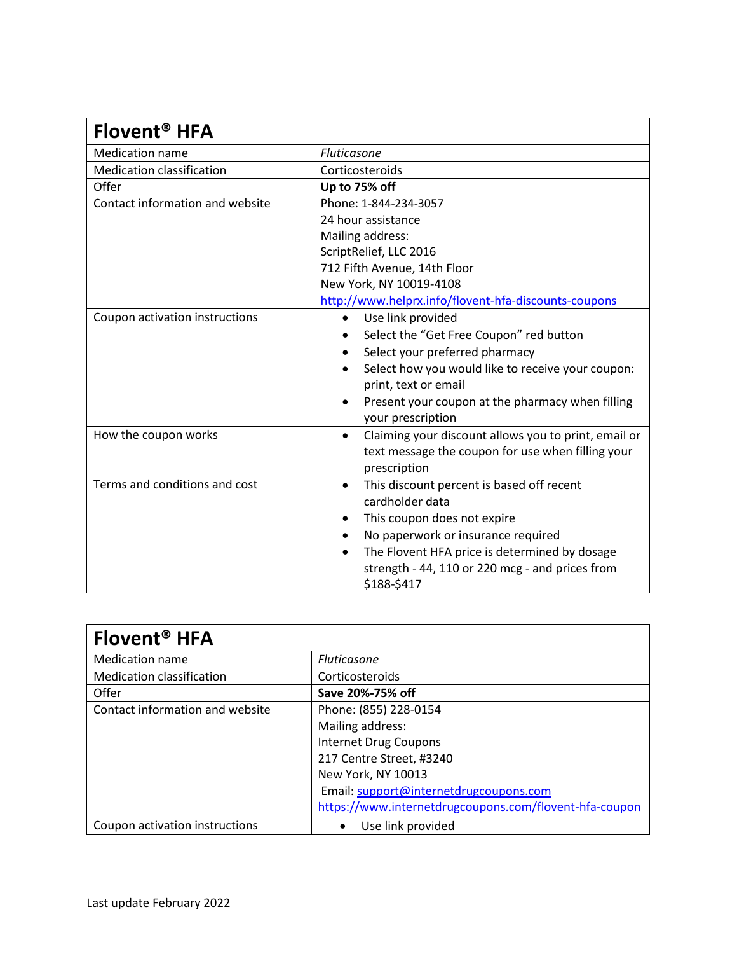| Flovent <sup>®</sup> HFA         |                                                                                                                |
|----------------------------------|----------------------------------------------------------------------------------------------------------------|
| <b>Medication name</b>           | Fluticasone                                                                                                    |
| <b>Medication classification</b> | Corticosteroids                                                                                                |
| Offer                            | Up to 75% off                                                                                                  |
| Contact information and website  | Phone: 1-844-234-3057                                                                                          |
|                                  | 24 hour assistance                                                                                             |
|                                  | Mailing address:                                                                                               |
|                                  | ScriptRelief, LLC 2016                                                                                         |
|                                  | 712 Fifth Avenue, 14th Floor                                                                                   |
|                                  | New York, NY 10019-4108                                                                                        |
|                                  | http://www.helprx.info/flovent-hfa-discounts-coupons                                                           |
| Coupon activation instructions   | Use link provided<br>$\bullet$                                                                                 |
|                                  | Select the "Get Free Coupon" red button                                                                        |
|                                  | Select your preferred pharmacy                                                                                 |
|                                  | Select how you would like to receive your coupon:                                                              |
|                                  | print, text or email                                                                                           |
|                                  | Present your coupon at the pharmacy when filling                                                               |
|                                  | your prescription                                                                                              |
| How the coupon works             | Claiming your discount allows you to print, email or<br>٠<br>text message the coupon for use when filling your |
|                                  | prescription                                                                                                   |
| Terms and conditions and cost    | This discount percent is based off recent<br>٠                                                                 |
|                                  | cardholder data                                                                                                |
|                                  | This coupon does not expire                                                                                    |
|                                  | No paperwork or insurance required<br>٠                                                                        |
|                                  | The Flovent HFA price is determined by dosage<br>$\bullet$                                                     |
|                                  | strength - 44, 110 or 220 mcg - and prices from<br>\$188-\$417                                                 |

| Flovent <sup>®</sup> HFA         |                                                        |
|----------------------------------|--------------------------------------------------------|
| <b>Medication name</b>           | <b>Fluticasone</b>                                     |
| <b>Medication classification</b> | Corticosteroids                                        |
| Offer                            | Save 20%-75% off                                       |
| Contact information and website  | Phone: (855) 228-0154                                  |
|                                  | Mailing address:                                       |
|                                  | <b>Internet Drug Coupons</b>                           |
|                                  | 217 Centre Street, #3240                               |
|                                  | New York, NY 10013                                     |
|                                  | Email: support@internetdrugcoupons.com                 |
|                                  | https://www.internetdrugcoupons.com/flovent-hfa-coupon |
| Coupon activation instructions   | Use link provided                                      |